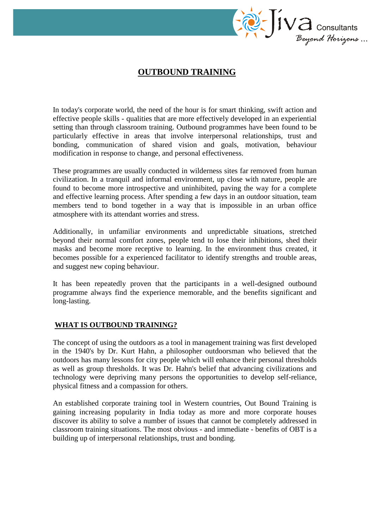

# **OUTBOUND TRAINING**

In today's corporate world, the need of the hour is for smart thinking, swift action and effective people skills - qualities that are more effectively developed in an experiential setting than through classroom training. Outbound programmes have been found to be particularly effective in areas that involve interpersonal relationships, trust and bonding, communication of shared vision and goals, motivation, behaviour modification in response to change, and personal effectiveness.

These programmes are usually conducted in wilderness sites far removed from human civilization. In a tranquil and informal environment, up close with nature, people are found to become more introspective and uninhibited, paving the way for a complete and effective learning process. After spending a few days in an outdoor situation, team members tend to bond together in a way that is impossible in an urban office atmosphere with its attendant worries and stress.

Additionally, in unfamiliar environments and unpredictable situations, stretched beyond their normal comfort zones, people tend to lose their inhibitions, shed their masks and become more receptive to learning. In the environment thus created, it becomes possible for a experienced facilitator to identify strengths and trouble areas, and suggest new coping behaviour.

It has been repeatedly proven that the participants in a well-designed outbound programme always find the experience memorable, and the benefits significant and long-lasting.

#### **WHAT IS OUTBOUND TRAINING?**

The concept of using the outdoors as a tool in management training was first developed in the 1940's by Dr. Kurt Hahn, a philosopher outdoorsman who believed that the outdoors has many lessons for city people which will enhance their personal thresholds as well as group thresholds. It was Dr. Hahn's belief that advancing civilizations and technology were depriving many persons the opportunities to develop self-reliance, physical fitness and a compassion for others.

An established corporate training tool in Western countries, Out Bound Training is gaining increasing popularity in India today as more and more corporate houses discover its ability to solve a number of issues that cannot be completely addressed in classroom training situations. The most obvious - and immediate - benefits of OBT is a building up of interpersonal relationships, trust and bonding.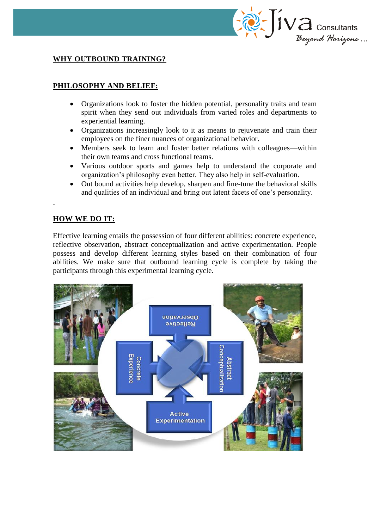

## **WHY OUTBOUND TRAINING?**

## **PHILOSOPHY AND BELIEF:**

- Organizations look to foster the hidden potential, personality traits and team spirit when they send out individuals from varied roles and departments to experiential learning.
- Organizations increasingly look to it as means to rejuvenate and train their employees on the finer nuances of organizational behavior.
- Members seek to learn and foster better relations with colleagues—within their own teams and cross functional teams.
- Various outdoor sports and games help to understand the corporate and organization's philosophy even better. They also help in self-evaluation.
- Out bound activities help develop, sharpen and fine-tune the behavioral skills and qualities of an individual and bring out latent facets of one's personality.

#### **HOW WE DO IT:**

Effective learning entails the possession of four different abilities: concrete experience, reflective observation, abstract conceptualization and active experimentation. People possess and develop different learning styles based on their combination of four abilities. We make sure that outbound learning cycle is complete by taking the participants through this experimental learning cycle.